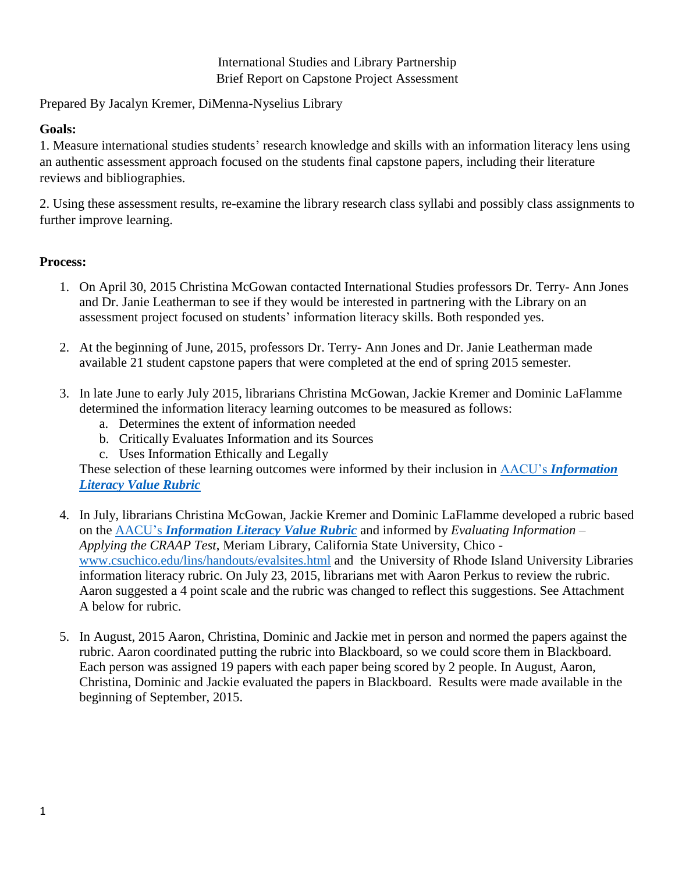International Studies and Library Partnership Brief Report on Capstone Project Assessment

Prepared By Jacalyn Kremer, DiMenna-Nyselius Library

# **Goals:**

1. Measure international studies students' research knowledge and skills with an information literacy lens using an authentic assessment approach focused on the students final capstone papers, including their literature reviews and bibliographies.

2. Using these assessment results, re-examine the library research class syllabi and possibly class assignments to further improve learning.

# **Process:**

- 1. On April 30, 2015 Christina McGowan contacted International Studies professors Dr. Terry- Ann Jones and Dr. Janie Leatherman to see if they would be interested in partnering with the Library on an assessment project focused on students' information literacy skills. Both responded yes.
- 2. At the beginning of June, 2015, professors Dr. Terry- Ann Jones and Dr. Janie Leatherman made available 21 student capstone papers that were completed at the end of spring 2015 semester.
- 3. In late June to early July 2015, librarians Christina McGowan, Jackie Kremer and Dominic LaFlamme determined the information literacy learning outcomes to be measured as follows:
	- a. Determines the extent of information needed
	- b. Critically Evaluates Information and its Sources
	- c. Uses Information Ethically and Legally

These selection of these learning outcomes were informed by their inclusion in AACU's *[Information](http://www.aacu.org/value/rubrics/information-literacy) [Literacy Value Rubric](http://www.aacu.org/value/rubrics/information-literacy)*

- 4. In July, librarians Christina McGowan, Jackie Kremer and Dominic LaFlamme developed a rubric based on the AACU's *[Information Literacy Value Rubric](http://www.aacu.org/value/rubrics/information-literacy)* and informed by *Evaluating Information – Applying the CRAAP Test*, Meriam Library, California State University, Chico [www.csuchico.edu/lins/handouts/evalsites.html](http://www.csuchico.edu/lins/handouts/evalsites.html) and the University of Rhode Island University Libraries information literacy rubric. On July 23, 2015, librarians met with Aaron Perkus to review the rubric. Aaron suggested a 4 point scale and the rubric was changed to reflect this suggestions. See Attachment A below for rubric.
- 5. In August, 2015 Aaron, Christina, Dominic and Jackie met in person and normed the papers against the rubric. Aaron coordinated putting the rubric into Blackboard, so we could score them in Blackboard. Each person was assigned 19 papers with each paper being scored by 2 people. In August, Aaron, Christina, Dominic and Jackie evaluated the papers in Blackboard. Results were made available in the beginning of September, 2015.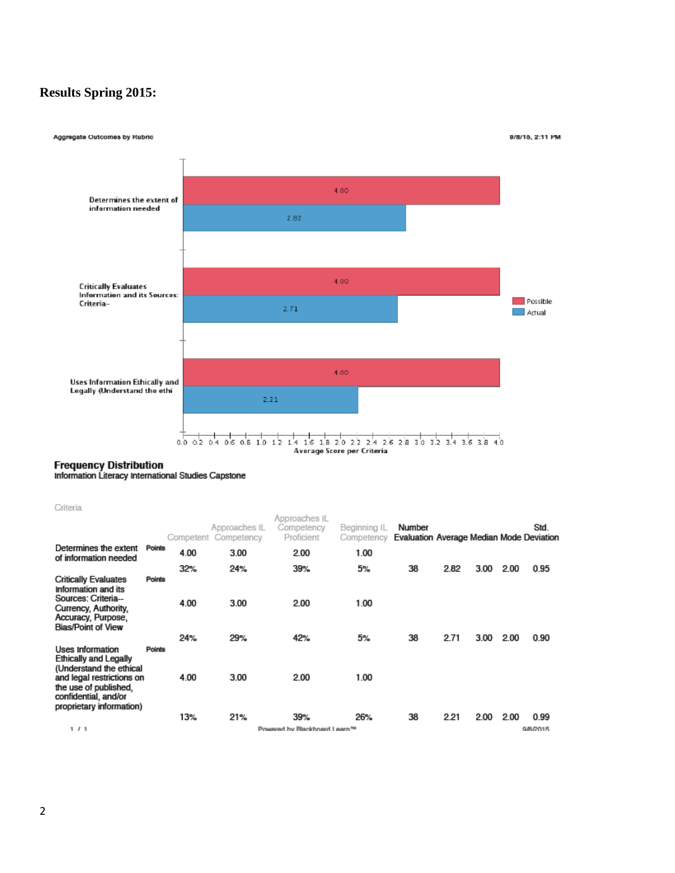# **Results Spring 2015:**



Frequency Distribution<br>Information Literacy International Studies Capstone

| Criteria                                                                                                                                                                       |        |      |                                       |                                           |                            |                                                    |      |      |      |          |
|--------------------------------------------------------------------------------------------------------------------------------------------------------------------------------|--------|------|---------------------------------------|-------------------------------------------|----------------------------|----------------------------------------------------|------|------|------|----------|
|                                                                                                                                                                                |        |      | Approaches IL<br>Competent Competency | Approaches IL<br>Competency<br>Proficient | Beginning IL<br>Competency | Number<br>Evaluation Average Median Mode Deviation |      |      |      | Std.     |
| Determines the extent<br>of information needed                                                                                                                                 | Points | 4.00 | 3.00                                  | 2.00                                      | 1.00                       |                                                    |      |      |      |          |
|                                                                                                                                                                                |        | 32%  | 24%                                   | 39%                                       | 5%                         | 38                                                 | 2.82 | 3.00 | 2.00 | 0.95     |
| <b>Critically Evaluates</b><br>Information and its<br>Sources: Criteria--<br>Currency, Authority.<br>Accuracy, Purpose,<br><b>Bias/Point of View</b>                           | Points | 4.00 | 3.00                                  | 2.00                                      | 1.00                       |                                                    |      |      |      |          |
|                                                                                                                                                                                |        | 24%  | 29%                                   | 42%                                       | 5%                         | 38                                                 | 2.71 | 3.00 | 2.00 | 0.90     |
| Uses Information<br>Ethically and Legally<br>(Understand the ethical<br>and legal restrictions on<br>the use of published,<br>confidential, and/or<br>proprietary information) | Points | 4.00 | 3.00                                  | 2.00                                      | 1.00                       |                                                    |      |      |      |          |
|                                                                                                                                                                                |        | 13%  | 21%                                   | 39%                                       | 26%                        | 38                                                 | 2.21 | 2.00 | 2.00 | 0.99     |
| 1/1                                                                                                                                                                            |        |      |                                       | Powered by Riackhoard Learn™              |                            |                                                    |      |      |      | 9/8/2015 |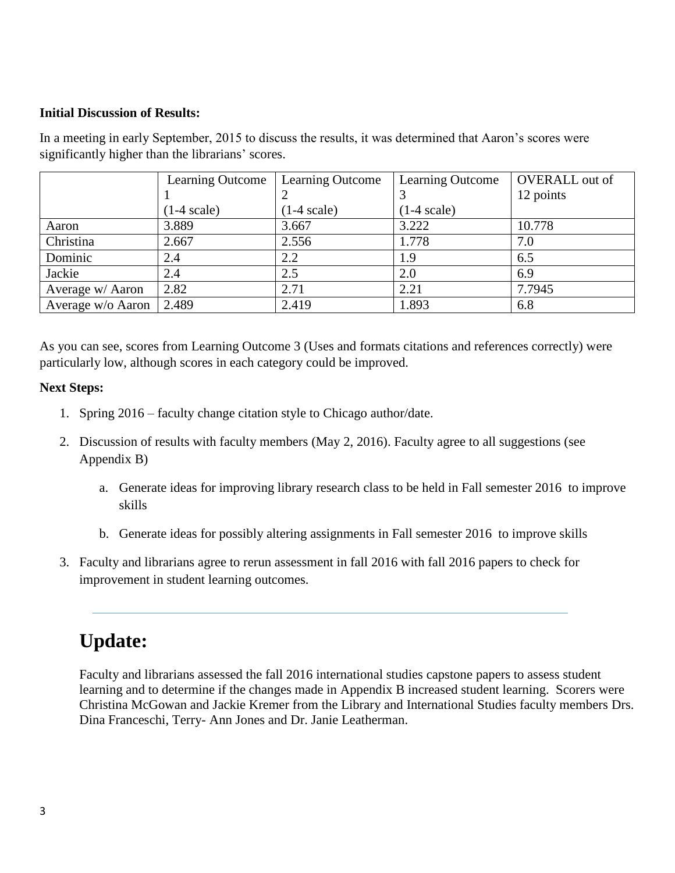#### **Initial Discussion of Results:**

In a meeting in early September, 2015 to discuss the results, it was determined that Aaron's scores were significantly higher than the librarians' scores.

|                   | <b>Learning Outcome</b> | Learning Outcome      | Learning Outcome      | <b>OVERALL</b> out of |
|-------------------|-------------------------|-----------------------|-----------------------|-----------------------|
|                   |                         |                       |                       | 12 points             |
|                   | $(1-4 \text{ scale})$   | $(1-4 \text{ scale})$ | $(1-4 \text{ scale})$ |                       |
| Aaron             | 3.889                   | 3.667                 | 3.222                 | 10.778                |
| Christina         | 2.667                   | 2.556                 | 1.778                 | 7.0                   |
| Dominic           | 2.4                     | 2.2                   | 1.9                   | 6.5                   |
| Jackie            | 2.4                     | 2.5                   | 2.0                   | 6.9                   |
| Average w/ Aaron  | 2.82                    | 2.71                  | 2.21                  | 7.7945                |
| Average w/o Aaron | 2.489                   | 2.419                 | 1.893                 | 6.8                   |

As you can see, scores from Learning Outcome 3 (Uses and formats citations and references correctly) were particularly low, although scores in each category could be improved.

## **Next Steps:**

- 1. Spring 2016 faculty change citation style to Chicago author/date.
- 2. Discussion of results with faculty members (May 2, 2016). Faculty agree to all suggestions (see Appendix B)
	- a. Generate ideas for improving library research class to be held in Fall semester 2016 to improve skills
	- b. Generate ideas for possibly altering assignments in Fall semester 2016 to improve skills
- 3. Faculty and librarians agree to rerun assessment in fall 2016 with fall 2016 papers to check for improvement in student learning outcomes.

# **Update:**

Faculty and librarians assessed the fall 2016 international studies capstone papers to assess student learning and to determine if the changes made in Appendix B increased student learning. Scorers were Christina McGowan and Jackie Kremer from the Library and International Studies faculty members Drs. Dina Franceschi, Terry- Ann Jones and Dr. Janie Leatherman.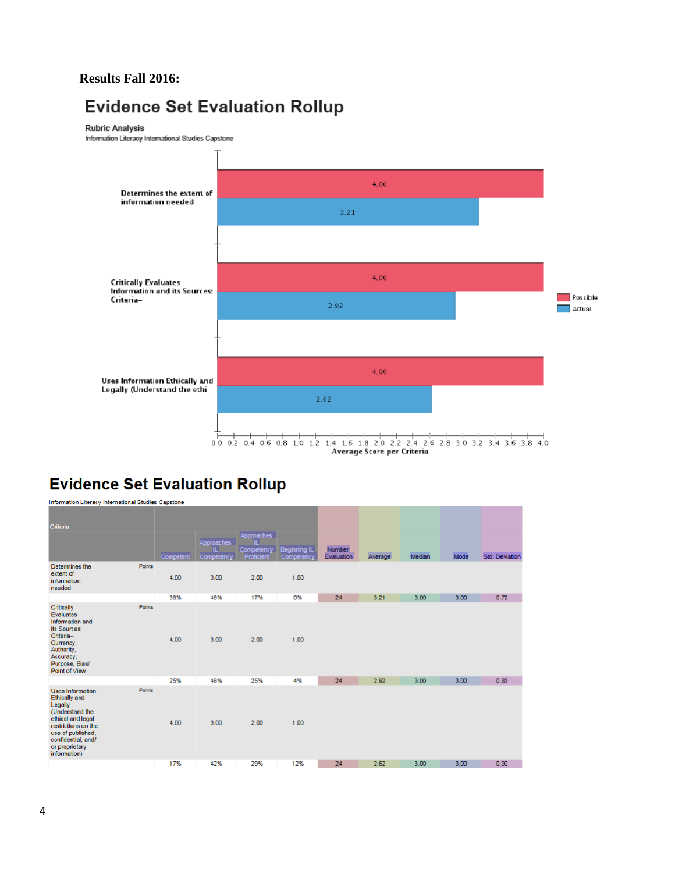## **Results Fall 2016:**

# **Evidence Set Evaluation Rollup**

#### **Rubric Analysis**

Information Literacy International Studies Capstone



# **Evidence Set Evaluation Rollup**

Information Literacy International Studies Capstone

| Criteria                                                                                                                                                                                               |               |           |                                      |                                             |                                   |                             |         |        |      |                       |
|--------------------------------------------------------------------------------------------------------------------------------------------------------------------------------------------------------|---------------|-----------|--------------------------------------|---------------------------------------------|-----------------------------------|-----------------------------|---------|--------|------|-----------------------|
|                                                                                                                                                                                                        |               | Competent | <b>Approaches</b><br>ш<br>Competency | Approaches<br>ш<br>Competency<br>Proficient | <b>Beginning IL</b><br>Competency | <b>Number</b><br>Evaluation | Average | Median | Mode | <b>Std. Deviation</b> |
| Determines the<br>extent of<br>information<br>needed                                                                                                                                                   | <b>Points</b> | 4.00      | 3.00                                 | 2.00                                        | 1.00                              |                             |         |        |      |                       |
|                                                                                                                                                                                                        |               | 38%       | 46%                                  | 17%                                         | 0%                                | 24                          | 3.21    | 3.00   | 3.00 | 0.72                  |
| <b>Critically</b><br><b>Evaluates</b><br>Information and<br>its Sources:<br>Criteria--<br>Currency.<br>Authority,<br>Accuracy.<br>Purpose, Bias/<br>Point of View                                      | Points        | 4.00      | 3.00                                 | 2.00                                        | 1.00                              |                             |         |        |      |                       |
|                                                                                                                                                                                                        |               | 25%       | 46%                                  | 25%                                         | 4%                                | 24                          | 2.92    | 3.00   | 3.00 | 0.83                  |
| <b>Uses Information</b><br><b>Ethically and</b><br>Legally<br>(Understand the<br>ethical and legal<br>restrictions on the<br>use of published.<br>confidential, and/<br>or proprietary<br>information) | <b>Points</b> | 4.00      | 3.00                                 | 2.00                                        | 1.00                              |                             |         |        |      |                       |
|                                                                                                                                                                                                        |               | 17%       | 42%                                  | 29%                                         | 12%                               | 24                          | 2.62    | 3.00   | 3.00 | 0.92                  |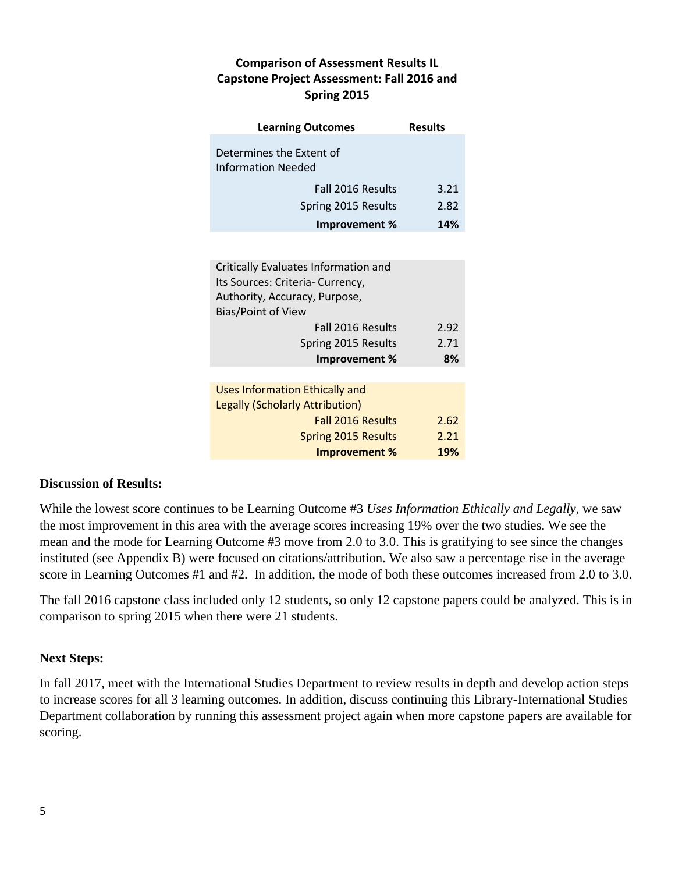# **Comparison of Assessment Results IL Capstone Project Assessment: Fall 2016 and Spring 2015**

| <b>Learning Outcomes</b>                       | <b>Results</b> |  |
|------------------------------------------------|----------------|--|
| Determines the Extent of<br>Information Needed |                |  |
| <b>Fall 2016 Results</b>                       | 3.21           |  |
| Spring 2015 Results                            | 2.82           |  |
| Improvement %                                  | 14%            |  |
|                                                |                |  |

| Critically Evaluates Information and |      |
|--------------------------------------|------|
| Its Sources: Criteria- Currency,     |      |
| Authority, Accuracy, Purpose,        |      |
| <b>Bias/Point of View</b>            |      |
| Fall 2016 Results                    | 2.92 |
| Spring 2015 Results                  | 2.71 |
| Improvement %                        | 8%   |
|                                      |      |
| Uses Information Ethically and       |      |
| Legally (Scholarly Attribution)      |      |
| <b>Fall 2016 Results</b>             | 2.62 |

Spring 2015 Results 2.21 **Improvement % 19%**

| <b>Discussion of Results:</b> |  |
|-------------------------------|--|

While the lowest score continues to be Learning Outcome #3 *Uses Information Ethically and Legally*, we saw the most improvement in this area with the average scores increasing 19% over the two studies. We see the mean and the mode for Learning Outcome #3 move from 2.0 to 3.0. This is gratifying to see since the changes instituted (see Appendix B) were focused on citations/attribution. We also saw a percentage rise in the average score in Learning Outcomes #1 and #2. In addition, the mode of both these outcomes increased from 2.0 to 3.0.

The fall 2016 capstone class included only 12 students, so only 12 capstone papers could be analyzed. This is in comparison to spring 2015 when there were 21 students.

# **Next Steps:**

In fall 2017, meet with the International Studies Department to review results in depth and develop action steps to increase scores for all 3 learning outcomes. In addition, discuss continuing this Library-International Studies Department collaboration by running this assessment project again when more capstone papers are available for scoring.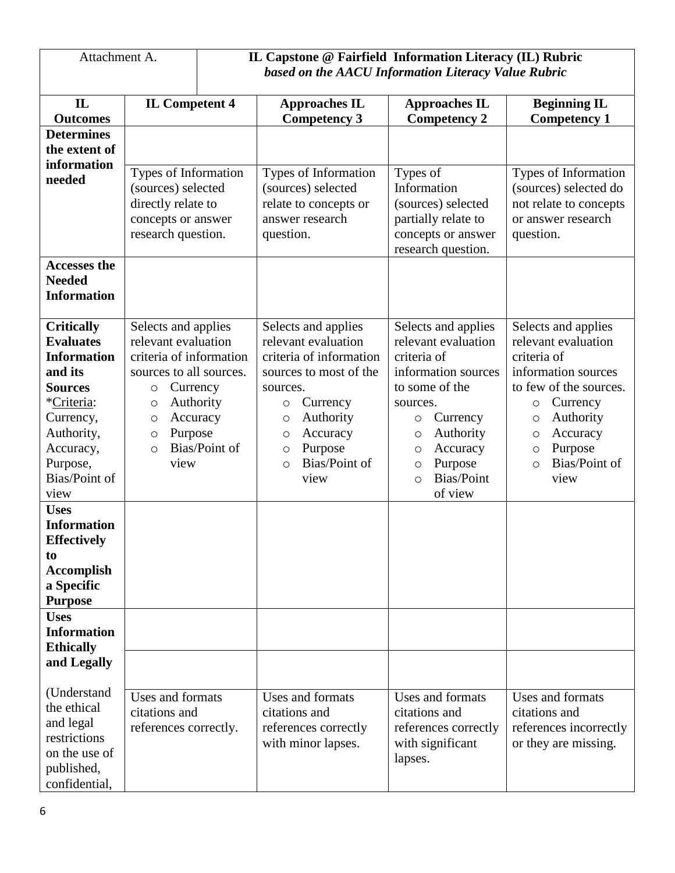| Attachment A.                                                                                                                                                                                                                                                                           | IL Capstone @ Fairfield Information Literacy (IL) Rubric<br>based on the AACU Information Literacy Value Rubric                                                                                                                  |                                                                                                                                                                                                                                             |                                                                                                                                                                                                                                                       |                                                                                                                                                                                                                                                        |  |  |
|-----------------------------------------------------------------------------------------------------------------------------------------------------------------------------------------------------------------------------------------------------------------------------------------|----------------------------------------------------------------------------------------------------------------------------------------------------------------------------------------------------------------------------------|---------------------------------------------------------------------------------------------------------------------------------------------------------------------------------------------------------------------------------------------|-------------------------------------------------------------------------------------------------------------------------------------------------------------------------------------------------------------------------------------------------------|--------------------------------------------------------------------------------------------------------------------------------------------------------------------------------------------------------------------------------------------------------|--|--|
| $\mathbf{IL}$<br><b>Outcomes</b>                                                                                                                                                                                                                                                        | <b>IL Competent 4</b>                                                                                                                                                                                                            | <b>Approaches IL</b><br><b>Competency 3</b>                                                                                                                                                                                                 |                                                                                                                                                                                                                                                       | <b>Beginning IL</b><br><b>Competency 1</b>                                                                                                                                                                                                             |  |  |
| <b>Determines</b>                                                                                                                                                                                                                                                                       |                                                                                                                                                                                                                                  |                                                                                                                                                                                                                                             | <b>Competency 2</b>                                                                                                                                                                                                                                   |                                                                                                                                                                                                                                                        |  |  |
| the extent of                                                                                                                                                                                                                                                                           |                                                                                                                                                                                                                                  |                                                                                                                                                                                                                                             |                                                                                                                                                                                                                                                       |                                                                                                                                                                                                                                                        |  |  |
| information<br>needed                                                                                                                                                                                                                                                                   | Types of Information<br>(sources) selected<br>directly relate to<br>concepts or answer<br>research question.                                                                                                                     | Types of Information<br>(sources) selected<br>relate to concepts or<br>answer research<br>question.                                                                                                                                         | Types of<br>Information<br>(sources) selected<br>partially relate to<br>concepts or answer<br>research question.                                                                                                                                      | Types of Information<br>(sources) selected do<br>not relate to concepts<br>or answer research<br>question.                                                                                                                                             |  |  |
| <b>Accesses the</b><br><b>Needed</b><br><b>Information</b>                                                                                                                                                                                                                              |                                                                                                                                                                                                                                  |                                                                                                                                                                                                                                             |                                                                                                                                                                                                                                                       |                                                                                                                                                                                                                                                        |  |  |
| <b>Critically</b><br><b>Evaluates</b><br><b>Information</b><br>and its<br><b>Sources</b><br>*Criteria:<br>Currency,<br>Authority,<br>Accuracy,<br>Purpose,<br>Bias/Point of<br>view<br><b>Uses</b><br><b>Information</b><br><b>Effectively</b><br>to<br><b>Accomplish</b><br>a Specific | Selects and applies<br>relevant evaluation<br>criteria of information<br>sources to all sources.<br>Currency<br>$\circ$<br>Authority<br>$\circ$<br>Accuracy<br>$\circ$<br>Purpose<br>$\circ$<br>Bias/Point of<br>$\circ$<br>view | Selects and applies<br>relevant evaluation<br>criteria of information<br>sources to most of the<br>sources.<br>Currency<br>$\circ$<br>Authority<br>$\circ$<br>Accuracy<br>$\circ$<br>Purpose<br>$\circ$<br>Bias/Point of<br>$\circ$<br>view | Selects and applies<br>relevant evaluation<br>criteria of<br>information sources<br>to some of the<br>sources.<br>Currency<br>$\circ$<br>Authority<br>$\circ$<br>Accuracy<br>$\circ$<br>Purpose<br>$\circ$<br><b>Bias/Point</b><br>$\circ$<br>of view | Selects and applies<br>relevant evaluation<br>criteria of<br>information sources<br>to few of the sources.<br>Currency<br>$\circlearrowright$<br>Authority<br>$\circ$<br>Accuracy<br>$\circ$<br>Purpose<br>$\circ$<br>Bias/Point of<br>$\circ$<br>view |  |  |
| <b>Purpose</b><br><b>Uses</b><br><b>Information</b>                                                                                                                                                                                                                                     |                                                                                                                                                                                                                                  |                                                                                                                                                                                                                                             |                                                                                                                                                                                                                                                       |                                                                                                                                                                                                                                                        |  |  |
| <b>Ethically</b><br>and Legally                                                                                                                                                                                                                                                         |                                                                                                                                                                                                                                  |                                                                                                                                                                                                                                             |                                                                                                                                                                                                                                                       |                                                                                                                                                                                                                                                        |  |  |
| (Understand<br>the ethical<br>and legal<br>restrictions<br>on the use of<br>published,<br>confidential,                                                                                                                                                                                 | Uses and formats<br>citations and<br>references correctly.                                                                                                                                                                       | Uses and formats<br>citations and<br>references correctly<br>with minor lapses.                                                                                                                                                             | Uses and formats<br>citations and<br>references correctly<br>with significant<br>lapses.                                                                                                                                                              | Uses and formats<br>citations and<br>references incorrectly<br>or they are missing.                                                                                                                                                                    |  |  |